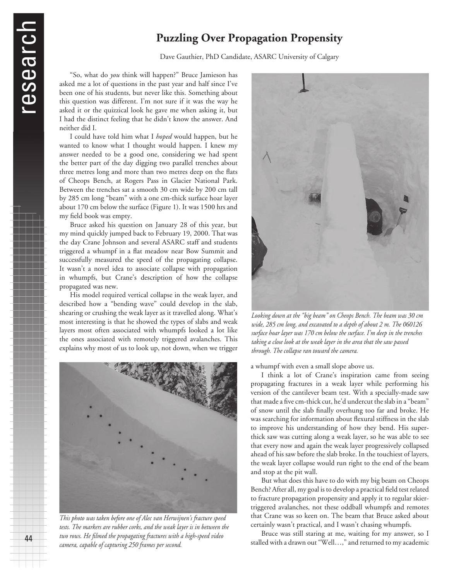44

# **Puzzling Over Propagation Propensity**

Dave Gauthier, PhD Candidate, ASARC University of Calgary

"So, what do *you* think will happen?" Bruce Jamieson has asked me a lot of questions in the past year and half since I've been one of his students, but never like this. Something about this question was different. I'm not sure if it was the way he asked it or the quizzical look he gave me when asking it, but I had the distinct feeling that he didn't know the answer. And neither did I.

I could have told him what I *hoped* would happen, but he wanted to know what I thought would happen. I knew my answer needed to be a good one, considering we had spent the better part of the day digging two parallel trenches about three metres long and more than two metres deep on the flats of Cheops Bench, at Rogers Pass in Glacier National Park. Between the trenches sat a smooth 30 cm wide by 200 cm tall by 285 cm long "beam" with a one cm-thick surface hoar layer about 170 cm below the surface (Figure 1). It was 1500 hrs and my field book was empty.

Bruce asked his question on January 28 of this year, but my mind quickly jumped back to February 19, 2000. That was the day Crane Johnson and several ASARC staff and students triggered a whumpf in a flat meadow near Bow Summit and successfully measured the speed of the propagating collapse. It wasn't a novel idea to associate collapse with propagation in whumpfs, but Crane's description of how the collapse propagated was new.

His model required vertical collapse in the weak layer, and described how a "bending wave" could develop in the slab, shearing or crushing the weak layer as it travelled along. What's most interesting is that he showed the types of slabs and weak layers most often associated with whumpfs looked a lot like the ones associated with remotely triggered avalanches. This explains why most of us to look up, not down, when we trigger



*This photo was taken before one of Alec van Herwijnen's fracture speed tests. The markers are rubber corks, and the weak layer is in between the two rows. He filmed the propagating fractures with a high-speed video camera, capable of capturing 250 frames per second.*



*Looking down at the "big beam" on Cheops Bench. The beam was 30 cm wide, 285 cm long, and excavated to a depth of about 2 m. The 060126 surface hoar layer was 170 cm below the surface. I'm deep in the trenches taking a close look at the weak layer in the area that the saw passed through. The collapse ran toward the camera.*

a whumpf with even a small slope above us.

I think a lot of Crane's inspiration came from seeing propagating fractures in a weak layer while performing his version of the cantilever beam test. With a specially-made saw that made a five cm-thick cut, he'd undercut the slab in a "beam" of snow until the slab finally overhung too far and broke. He was searching for information about flexural stiffness in the slab to improve his understanding of how they bend. His superthick saw was cutting along a weak layer, so he was able to see that every now and again the weak layer progressively collapsed ahead of his saw before the slab broke. In the touchiest of layers, the weak layer collapse would run right to the end of the beam and stop at the pit wall.

But what does this have to do with my big beam on Cheops Bench? After all, my goal is to develop a practical field test related to fracture propagation propensity and apply it to regular skiertriggered avalanches, not these oddball whumpfs and remotes that Crane was so keen on. The beam that Bruce asked about certainly wasn't practical, and I wasn't chasing whumpfs.

Bruce was still staring at me, waiting for my answer, so I stalled with a drawn out "Well…," and returned to my academic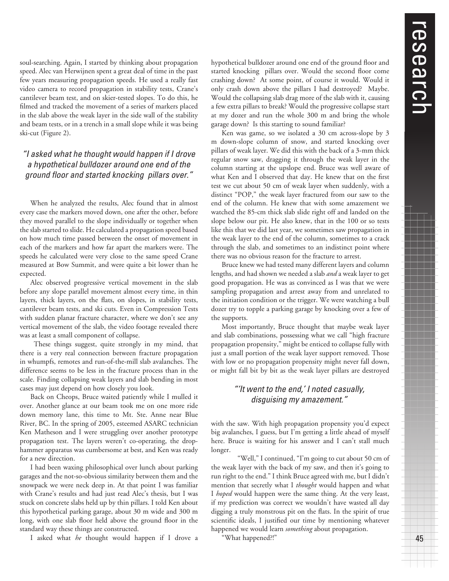45

soul-searching. Again, I started by thinking about propagation speed. Alec van Herwijnen spent a great deal of time in the past few years measuring propagation speeds. He used a really fast video camera to record propagation in stability tests, Crane's cantilever beam test, and on skier-tested slopes. To do this, he filmed and tracked the movement of a series of markers placed in the slab above the weak layer in the side wall of the stability and beam tests, or in a trench in a small slope while it was being ski-cut (Figure 2).

## "I asked what he thought would happen if I drove a hypothetical bulldozer around one end of the ground floor and started knocking pillars over."

When he analyzed the results, Alec found that in almost every case the markers moved down, one after the other, before they moved parallel to the slope individually or together when the slab started to slide. He calculated a propagation speed based on how much time passed between the onset of movement in each of the markers and how far apart the markers were. The speeds he calculated were very close to the same speed Crane measured at Bow Summit, and were quite a bit lower than he expected.

Alec observed progressive vertical movement in the slab before any slope parallel movement almost every time, in thin layers, thick layers, on the flats, on slopes, in stability tests, cantilever beam tests, and ski cuts. Even in Compression Tests with sudden planar fracture character, where we don't see any vertical movement of the slab, the video footage revealed there was at least a small component of collapse.

 These things suggest, quite strongly in my mind, that there is a very real connection between fracture propagation in whumpfs, remotes and run-of-the-mill slab avalanches. The difference seems to be less in the fracture process than in the scale. Finding collapsing weak layers and slab bending in most cases may just depend on how closely you look.

Back on Cheops, Bruce waited patiently while I mulled it over. Another glance at our beam took me on one more ride down memory lane, this time to Mt. Ste. Anne near Blue River, BC. In the spring of 2005, esteemed ASARC technician Ken Matheson and I were struggling over another prototype propagation test. The layers weren't co-operating, the drophammer apparatus was cumbersome at best, and Ken was ready for a new direction.

I had been waxing philosophical over lunch about parking garages and the not-so-obvious similarity between them and the snowpack we were neck deep in. At that point I was familiar with Crane's results and had just read Alec's thesis, but I was stuck on concrete slabs held up by thin pillars. I told Ken about this hypothetical parking garage, about 30 m wide and 300 m long, with one slab floor held above the ground floor in the standard way these things are constructed.

I asked what *he* thought would happen if I drove a

hypothetical bulldozer around one end of the ground floor and started knocking pillars over. Would the second floor come crashing down? At some point, of course it would. Would it only crash down above the pillars I had destroyed? Maybe. Would the collapsing slab drag more of the slab with it, causing a few extra pillars to break? Would the progressive collapse start at my dozer and run the whole 300 m and bring the whole garage down? Is this starting to sound familiar?

Ken was game, so we isolated a 30 cm across-slope by 3 m down-slope column of snow, and started knocking over pillars of weak layer. We did this with the back of a 3-mm thick regular snow saw, dragging it through the weak layer in the column starting at the upslope end. Bruce was well aware of what Ken and I observed that day. He knew that on the first test we cut about 50 cm of weak layer when suddenly, with a distinct "POP," the weak layer fractured from our saw to the end of the column. He knew that with some amazement we watched the 85-cm thick slab slide right off and landed on the slope below our pit. He also knew, that in the 100 or so tests like this that we did last year, we sometimes saw propagation in the weak layer to the end of the column, sometimes to a crack through the slab, and sometimes to an indistinct point where there was no obvious reason for the fracture to arrest.

Bruce knew we had tested many different layers and column lengths, and had shown we needed a slab *and* a weak layer to get good propagation. He was as convinced as I was that we were sampling propagation and arrest away from and unrelated to the initiation condition or the trigger. We were watching a bull dozer try to topple a parking garage by knocking over a few of the supports.

Most importantly, Bruce thought that maybe weak layer and slab combinations, possessing what we call "high fracture propagation propensity," might be enticed to collapse fully with just a small portion of the weak layer support removed. Those with low or no propagation propensity might never fall down, or might fall bit by bit as the weak layer pillars are destroyed

### "'It went to the end,' I noted casually, disguising my amazement."

with the saw. With high propagation propensity you'd expect big avalanches, I guess, but I'm getting a little ahead of myself here. Bruce is waiting for his answer and I can't stall much longer.

 "Well," I continued, "I'm going to cut about 50 cm of the weak layer with the back of my saw, and then it's going to run right to the end." I think Bruce agreed with me, but I didn't mention that secretly what I *thought* would happen and what I *hoped* would happen were the same thing. At the very least, if my prediction was correct we wouldn't have wasted all day digging a truly monstrous pit on the flats. In the spirit of true scientific ideals, I justified our time by mentioning whatever happened we would learn *something* about propagation.

"What happened?!"